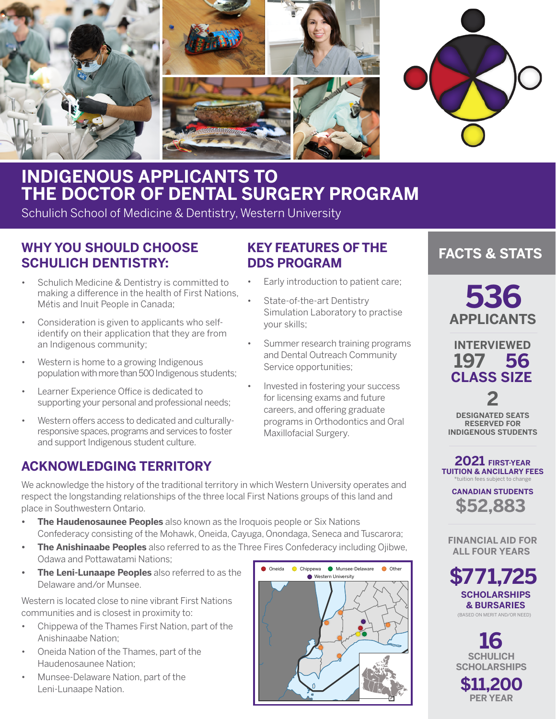

# **INDIGENOUS APPLICANTS TO THE DOCTOR OF DENTAL SURGERY PROGRAM**

Schulich School of Medicine & Dentistry, Western University

# **WHY YOU SHOULD CHOOSE SCHULICH DENTISTRY:**

- Schulich Medicine & Dentistry is committed to making a difference in the health of First Nations, Métis and Inuit People in Canada;
- Consideration is given to applicants who selfidentify on their application that they are from an Indigenous community;
- Western is home to a growing Indigenous population with more than 500 Indigenous students;
- Learner Experience Office is dedicated to supporting your personal and professional needs;
- Western offers access to dedicated and culturallyresponsive spaces, programs and services to foster and support Indigenous student culture.

# **ACKNOWLEDGING TERRITORY**

# **KEY FEATURES OF THE DDS PROGRAM**

- Early introduction to patient care;
- State-of-the-art Dentistry Simulation Laboratory to practise your skills;
- Summer research training programs and Dental Outreach Community Service opportunities;
- Invested in fostering your success for licensing exams and future careers, and offering graduate programs in Orthodontics and Oral Maxillofacial Surgery.

### We acknowledge the history of the traditional territory in which Western University operates and respect the longstanding relationships of the three local First Nations groups of this land and place in Southwestern Ontario.

- **• The Haudenosaunee Peoples** also known as the Iroquois people or Six Nations Confederacy consisting of the Mohawk, Oneida, Cayuga, Onondaga, Seneca and Tuscarora;
- **• The Anishinaabe Peoples** also referred to as the Three Fires Confederacy including Ojibwe, Odawa and Pottawatami Nations;
- **• The Leni-Lunaape Peoples** also referred to as the Delaware and/or Munsee.

Western is located close to nine vibrant First Nations communities and is closest in proximity to:

- Chippewa of the Thames First Nation, part of the Anishinaabe Nation;
- Oneida Nation of the Thames, part of the Haudenosaunee Nation;
- Munsee-Delaware Nation, part of the Leni-Lunaape Nation.



# **FACTS & STATS**

**536 APPLICANTS**

**197 56 INTERVIEWED CLASS SIZE**

**2 DESIGNATED SEATS RESERVED FOR INDIGENOUS STUDENTS**

**2021 FIRST-YEAR TUITION & ANCILLARY FEES** \*tuition fees subject to change

> **\$52,883 CANADIAN STUDENTS**

 **FINANCIAL AID FOR ALL FOUR YEARS**

**\$771,725 SCHOLARSHIPS & BURSARIES** (BASED ON MERIT AND/OR NEED)



**\$11,200 PER YEAR**